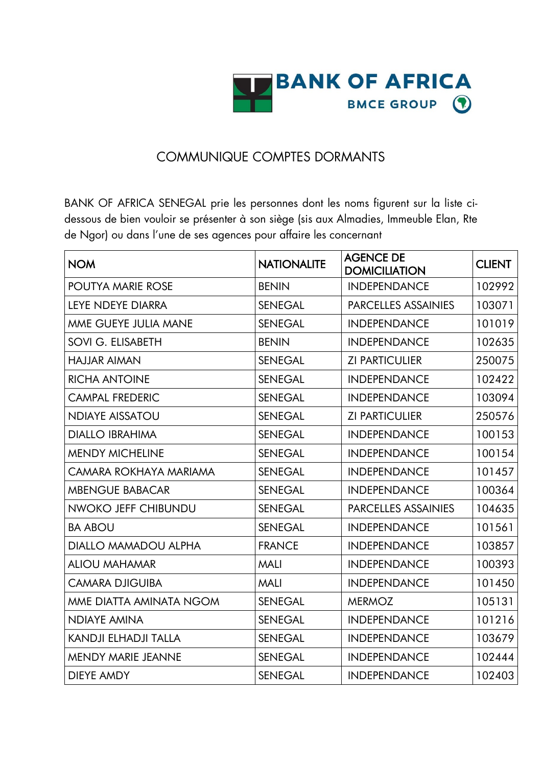

## COMMUNIQUE COMPTES DORMANTS

BANK OF AFRICA SENEGAL prie les personnes dont les noms figurent sur la liste cidessous de bien vouloir se présenter à son siège (sis aux Almadies, Immeuble Elan, Rte de Ngor) ou dans l'une de ses agences pour affaire les concernant

| <b>NOM</b>                  | <b>NATIONALITE</b> | <b>AGENCE DE</b><br><b>DOMICILIATION</b> | <b>CLIENT</b> |
|-----------------------------|--------------------|------------------------------------------|---------------|
| <b>POUTYA MARIE ROSE</b>    | <b>BENIN</b>       | <b>INDEPENDANCE</b>                      | 102992        |
| <b>LEYE NDEYE DIARRA</b>    | <b>SENEGAL</b>     | <b>PARCELLES ASSAINIES</b>               | 103071        |
| MME GUEYE JULIA MANE        | <b>SENEGAL</b>     | <b>INDEPENDANCE</b>                      | 101019        |
| SOVI G. ELISABETH           | <b>BENIN</b>       | <b>INDEPENDANCE</b>                      | 102635        |
| HAJJAR AIMAN                | <b>SENEGAL</b>     | <b>ZI PARTICULIER</b>                    | 250075        |
| <b>RICHA ANTOINE</b>        | <b>SENEGAL</b>     | <b>INDEPENDANCE</b>                      | 102422        |
| <b>CAMPAL FREDERIC</b>      | <b>SENEGAL</b>     | <b>INDEPENDANCE</b>                      | 103094        |
| <b>NDIAYE AISSATOU</b>      | <b>SENEGAL</b>     | <b>ZI PARTICULIER</b>                    | 250576        |
| <b>DIALLO IBRAHIMA</b>      | <b>SENEGAL</b>     | <b>INDEPENDANCE</b>                      | 100153        |
| <b>MENDY MICHELINE</b>      | <b>SENEGAL</b>     | <b>INDEPENDANCE</b>                      | 100154        |
| CAMARA ROKHAYA MARIAMA      | <b>SENEGAL</b>     | <b>INDEPENDANCE</b>                      | 101457        |
| <b>MBENGUE BABACAR</b>      | <b>SENEGAL</b>     | <b>INDEPENDANCE</b>                      | 100364        |
| NWOKO JEFF CHIBUNDU         | <b>SENEGAL</b>     | <b>PARCELLES ASSAINIES</b>               | 104635        |
| <b>BA ABOU</b>              | <b>SENEGAL</b>     | <b>INDEPENDANCE</b>                      | 101561        |
| <b>DIALLO MAMADOU ALPHA</b> | <b>FRANCE</b>      | <b>INDEPENDANCE</b>                      | 103857        |
| <b>ALIOU MAHAMAR</b>        | <b>MALI</b>        | <b>INDEPENDANCE</b>                      | 100393        |
| <b>CAMARA DJIGUIBA</b>      | <b>MALI</b>        | <b>INDEPENDANCE</b>                      | 101450        |
| MME DIATTA AMINATA NGOM     | <b>SENEGAL</b>     | <b>MERMOZ</b>                            | 105131        |
| <b>NDIAYE AMINA</b>         | <b>SENEGAL</b>     | <b>INDEPENDANCE</b>                      | 101216        |
| <b>KANDJI ELHADJI TALLA</b> | <b>SENEGAL</b>     | <b>INDEPENDANCE</b>                      | 103679        |
| <b>MENDY MARIE JEANNE</b>   | <b>SENEGAL</b>     | <b>INDEPENDANCE</b>                      | 102444        |
| <b>DIEYE AMDY</b>           | <b>SENEGAL</b>     | <b>INDEPENDANCE</b>                      | 102403        |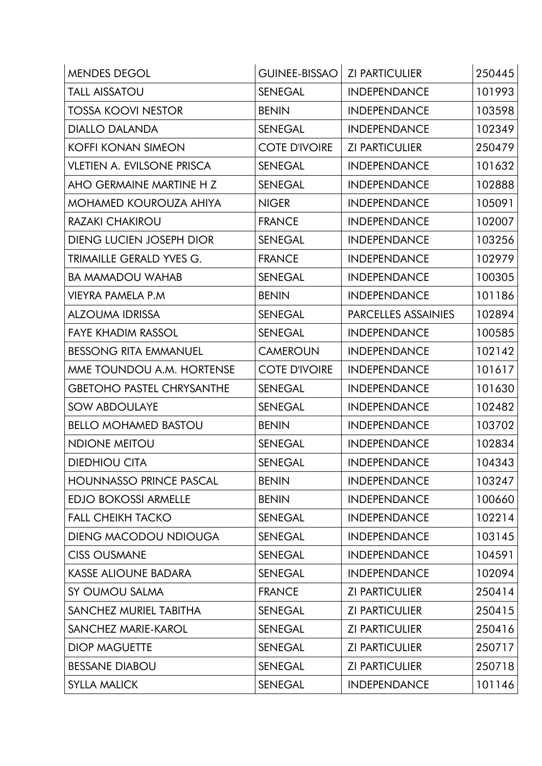| <b>MENDES DEGOL</b>               | <b>GUINEE-BISSAO</b> | <b>ZI PARTICULIER</b> | 250445 |
|-----------------------------------|----------------------|-----------------------|--------|
| <b>TALL AISSATOU</b>              | <b>SENEGAL</b>       | <b>INDEPENDANCE</b>   | 101993 |
| <b>TOSSA KOOVI NESTOR</b>         | <b>BENIN</b>         | <b>INDEPENDANCE</b>   | 103598 |
| <b>DIALLO DALANDA</b>             | <b>SENEGAL</b>       | <b>INDEPENDANCE</b>   | 102349 |
| <b>KOFFI KONAN SIMEON</b>         | <b>COTE D'IVOIRE</b> | <b>ZI PARTICULIER</b> | 250479 |
| <b>VLETIEN A. EVILSONE PRISCA</b> | <b>SENEGAL</b>       | <b>INDEPENDANCE</b>   | 101632 |
| AHO GERMAINE MARTINE H Z          | <b>SENEGAL</b>       | <b>INDEPENDANCE</b>   | 102888 |
| <b>MOHAMED KOUROUZA AHIYA</b>     | <b>NIGER</b>         | <b>INDEPENDANCE</b>   | 105091 |
| <b>RAZAKI CHAKIROU</b>            | <b>FRANCE</b>        | <b>INDEPENDANCE</b>   | 102007 |
| <b>DIENG LUCIEN JOSEPH DIOR</b>   | <b>SENEGAL</b>       | <b>INDEPENDANCE</b>   | 103256 |
| TRIMAILLE GERALD YVES G.          | <b>FRANCE</b>        | <b>INDEPENDANCE</b>   | 102979 |
| <b>BA MAMADOU WAHAB</b>           | <b>SENEGAL</b>       | <b>INDEPENDANCE</b>   | 100305 |
| VIEYRA PAMELA P.M                 | <b>BENIN</b>         | <b>INDEPENDANCE</b>   | 101186 |
| <b>ALZOUMA IDRISSA</b>            | <b>SENEGAL</b>       | PARCELLES ASSAINIES   | 102894 |
| <b>FAYE KHADIM RASSOL</b>         | <b>SENEGAL</b>       | <b>INDEPENDANCE</b>   | 100585 |
| <b>BESSONG RITA EMMANUEL</b>      | <b>CAMEROUN</b>      | <b>INDEPENDANCE</b>   | 102142 |
| MME TOUNDOU A.M. HORTENSE         | <b>COTE D'IVOIRE</b> | <b>INDEPENDANCE</b>   | 101617 |
| <b>GBETOHO PASTEL CHRYSANTHE</b>  | <b>SENEGAL</b>       | <b>INDEPENDANCE</b>   | 101630 |
| <b>SOW ABDOULAYE</b>              | <b>SENEGAL</b>       | <b>INDEPENDANCE</b>   | 102482 |
| <b>BELLO MOHAMED BASTOU</b>       | <b>BENIN</b>         | <b>INDEPENDANCE</b>   | 103702 |
| <b>NDIONE MEITOU</b>              | <b>SENEGAL</b>       | <b>INDEPENDANCE</b>   | 102834 |
| <b>DIEDHIOU CITA</b>              | <b>SENEGAL</b>       | <b>INDEPENDANCE</b>   | 104343 |
| <b>HOUNNASSO PRINCE PASCAL</b>    | <b>BENIN</b>         | <b>INDEPENDANCE</b>   | 103247 |
| <b>EDJO BOKOSSI ARMELLE</b>       | <b>BENIN</b>         | <b>INDEPENDANCE</b>   | 100660 |
| <b>FALL CHEIKH TACKO</b>          | <b>SENEGAL</b>       | <b>INDEPENDANCE</b>   | 102214 |
| <b>DIENG MACODOU NDIOUGA</b>      | <b>SENEGAL</b>       | <b>INDEPENDANCE</b>   | 103145 |
| <b>CISS OUSMANE</b>               | <b>SENEGAL</b>       | <b>INDEPENDANCE</b>   | 104591 |
| <b>KASSE ALIOUNE BADARA</b>       | <b>SENEGAL</b>       | <b>INDEPENDANCE</b>   | 102094 |
| SY OUMOU SALMA                    | <b>FRANCE</b>        | <b>ZI PARTICULIER</b> | 250414 |
| SANCHEZ MURIEL TABITHA            | <b>SENEGAL</b>       | <b>ZI PARTICULIER</b> | 250415 |
| SANCHEZ MARIE-KAROL               | <b>SENEGAL</b>       | <b>ZI PARTICULIER</b> | 250416 |
| <b>DIOP MAGUETTE</b>              | <b>SENEGAL</b>       | <b>ZI PARTICULIER</b> | 250717 |
| <b>BESSANE DIABOU</b>             | <b>SENEGAL</b>       | <b>ZI PARTICULIER</b> | 250718 |
| <b>SYLLA MALICK</b>               | <b>SENEGAL</b>       | <b>INDEPENDANCE</b>   | 101146 |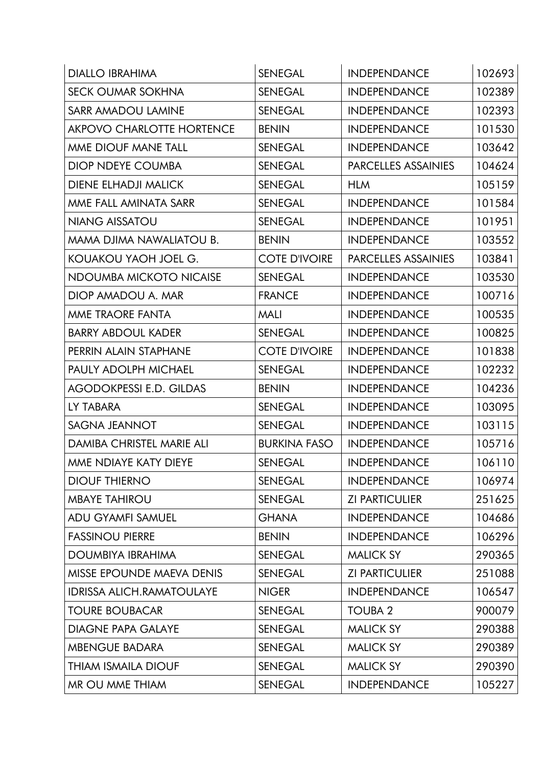| <b>DIALLO IBRAHIMA</b>           | <b>SENEGAL</b>       | <b>INDEPENDANCE</b>        | 102693 |
|----------------------------------|----------------------|----------------------------|--------|
| <b>SECK OUMAR SOKHNA</b>         | <b>SENEGAL</b>       | <b>INDEPENDANCE</b>        | 102389 |
| <b>SARR AMADOU LAMINE</b>        | <b>SENEGAL</b>       | <b>INDEPENDANCE</b>        | 102393 |
| <b>AKPOVO CHARLOTTE HORTENCE</b> | <b>BENIN</b>         | <b>INDEPENDANCE</b>        | 101530 |
| MME DIOUF MANE TALL              | <b>SENEGAL</b>       | <b>INDEPENDANCE</b>        | 103642 |
| <b>DIOP NDEYE COUMBA</b>         | <b>SENEGAL</b>       | <b>PARCELLES ASSAINIES</b> | 104624 |
| <b>DIENE ELHADJI MALICK</b>      | <b>SENEGAL</b>       | <b>HLM</b>                 | 105159 |
| MME FALL AMINATA SARR            | <b>SENEGAL</b>       | <b>INDEPENDANCE</b>        | 101584 |
| <b>NIANG AISSATOU</b>            | <b>SENEGAL</b>       | <b>INDEPENDANCE</b>        | 101951 |
| MAMA DJIMA NAWALIATOU B.         | <b>BENIN</b>         | <b>INDEPENDANCE</b>        | 103552 |
| KOUAKOU YAOH JOEL G.             | <b>COTE D'IVOIRE</b> | <b>PARCELLES ASSAINIES</b> | 103841 |
| NDOUMBA MICKOTO NICAISE          | <b>SENEGAL</b>       | <b>INDEPENDANCE</b>        | 103530 |
| DIOP AMADOU A. MAR               | <b>FRANCE</b>        | <b>INDEPENDANCE</b>        | 100716 |
| MME TRAORE FANTA                 | <b>MALI</b>          | <b>INDEPENDANCE</b>        | 100535 |
| <b>BARRY ABDOUL KADER</b>        | <b>SENEGAL</b>       | <b>INDEPENDANCE</b>        | 100825 |
| PERRIN ALAIN STAPHANE            | <b>COTE D'IVOIRE</b> | <b>INDEPENDANCE</b>        | 101838 |
| <b>PAULY ADOLPH MICHAEL</b>      | <b>SENEGAL</b>       | <b>INDEPENDANCE</b>        | 102232 |
| <b>AGODOKPESSI E.D. GILDAS</b>   | <b>BENIN</b>         | <b>INDEPENDANCE</b>        | 104236 |
| LY TABARA                        | <b>SENEGAL</b>       | <b>INDEPENDANCE</b>        | 103095 |
| <b>SAGNA JEANNOT</b>             | <b>SENEGAL</b>       | <b>INDEPENDANCE</b>        | 103115 |
| <b>DAMIBA CHRISTEL MARIE ALI</b> | <b>BURKINA FASO</b>  | <b>INDEPENDANCE</b>        | 105716 |
| MME NDIAYE KATY DIEYE            | <b>SENEGAL</b>       | <b>INDEPENDANCE</b>        | 106110 |
| <b>DIOUF THIERNO</b>             | <b>SENEGAL</b>       | <b>INDEPENDANCE</b>        | 106974 |
| <b>MBAYE TAHIROU</b>             | <b>SENEGAL</b>       | <b>ZI PARTICULIER</b>      | 251625 |
| <b>ADU GYAMFI SAMUEL</b>         | <b>GHANA</b>         | <b>INDEPENDANCE</b>        | 104686 |
| <b>FASSINOU PIERRE</b>           | <b>BENIN</b>         | <b>INDEPENDANCE</b>        | 106296 |
| DOUMBIYA IBRAHIMA                | SENEGAL              | <b>MALICK SY</b>           | 290365 |
| MISSE EPOUNDE MAEVA DENIS        | <b>SENEGAL</b>       | <b>ZI PARTICULIER</b>      | 251088 |
| <b>IDRISSA ALICH.RAMATOULAYE</b> | <b>NIGER</b>         | <b>INDEPENDANCE</b>        | 106547 |
| <b>TOURE BOUBACAR</b>            | SENEGAL              | <b>TOUBA 2</b>             | 900079 |
| <b>DIAGNE PAPA GALAYE</b>        | <b>SENEGAL</b>       | <b>MALICK SY</b>           | 290388 |
| <b>MBENGUE BADARA</b>            | <b>SENEGAL</b>       | <b>MALICK SY</b>           | 290389 |
| <b>THIAM ISMAILA DIOUF</b>       | <b>SENEGAL</b>       | <b>MALICK SY</b>           | 290390 |
| MR OU MME THIAM                  | <b>SENEGAL</b>       | <b>INDEPENDANCE</b>        | 105227 |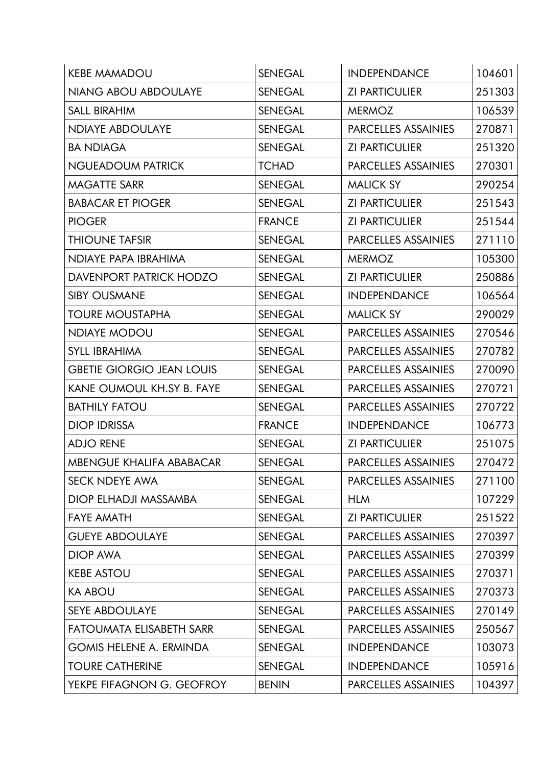| <b>KEBE MAMADOU</b>              | <b>SENEGAL</b> | <b>INDEPENDANCE</b>        | 104601 |
|----------------------------------|----------------|----------------------------|--------|
| <b>NIANG ABOU ABDOULAYE</b>      | <b>SENEGAL</b> | <b>ZI PARTICULIER</b>      | 251303 |
| <b>SALL BIRAHIM</b>              | <b>SENEGAL</b> | <b>MERMOZ</b>              | 106539 |
| <b>NDIAYE ABDOULAYE</b>          | <b>SENEGAL</b> | PARCELLES ASSAINIES        | 270871 |
| <b>BA NDIAGA</b>                 | <b>SENEGAL</b> | <b>ZI PARTICULIER</b>      | 251320 |
| <b>NGUEADOUM PATRICK</b>         | <b>TCHAD</b>   | <b>PARCELLES ASSAINIES</b> | 270301 |
| <b>MAGATTE SARR</b>              | <b>SENEGAL</b> | <b>MALICK SY</b>           | 290254 |
| <b>BABACAR ET PIOGER</b>         | <b>SENEGAL</b> | <b>ZI PARTICULIER</b>      | 251543 |
| <b>PIOGER</b>                    | <b>FRANCE</b>  | <b>ZI PARTICULIER</b>      | 251544 |
| <b>THIOUNE TAFSIR</b>            | <b>SENEGAL</b> | PARCELLES ASSAINIES        | 271110 |
| NDIAYE PAPA IBRAHIMA             | <b>SENEGAL</b> | <b>MERMOZ</b>              | 105300 |
| DAVENPORT PATRICK HODZO          | <b>SENEGAL</b> | <b>ZI PARTICULIER</b>      | 250886 |
| <b>SIBY OUSMANE</b>              | <b>SENEGAL</b> | <b>INDEPENDANCE</b>        | 106564 |
| <b>TOURE MOUSTAPHA</b>           | <b>SENEGAL</b> | <b>MALICK SY</b>           | 290029 |
| <b>NDIAYE MODOU</b>              | <b>SENEGAL</b> | <b>PARCELLES ASSAINIES</b> | 270546 |
| <b>SYLL IBRAHIMA</b>             | <b>SENEGAL</b> | <b>PARCELLES ASSAINIES</b> | 270782 |
| <b>GBETIE GIORGIO JEAN LOUIS</b> | <b>SENEGAL</b> | <b>PARCELLES ASSAINIES</b> | 270090 |
| <b>KANE OUMOUL KH.SY B. FAYE</b> | <b>SENEGAL</b> | <b>PARCELLES ASSAINIES</b> | 270721 |
| <b>BATHILY FATOU</b>             | <b>SENEGAL</b> | <b>PARCELLES ASSAINIES</b> | 270722 |
| <b>DIOP IDRISSA</b>              | <b>FRANCE</b>  | <b>INDEPENDANCE</b>        | 106773 |
| <b>ADJO RENE</b>                 | <b>SENEGAL</b> | <b>ZI PARTICULIER</b>      | 251075 |
| <b>MBENGUE KHALIFA ABABACAR</b>  | <b>SENEGAL</b> | <b>PARCELLES ASSAINIES</b> | 270472 |
| <b>SECK NDEYE AWA</b>            | <b>SENEGAL</b> | <b>PARCELLES ASSAINIES</b> | 271100 |
| DIOP ELHADJI MASSAMBA            | <b>SENEGAL</b> | <b>HLM</b>                 | 107229 |
| <b>FAYE AMATH</b>                | <b>SENEGAL</b> | <b>ZI PARTICULIER</b>      | 251522 |
| <b>GUEYE ABDOULAYE</b>           | <b>SENEGAL</b> | <b>PARCELLES ASSAINIES</b> | 270397 |
| <b>DIOP AWA</b>                  | <b>SENEGAL</b> | <b>PARCELLES ASSAINIES</b> | 270399 |
| <b>KEBE ASTOU</b>                | <b>SENEGAL</b> | <b>PARCELLES ASSAINIES</b> | 270371 |
| <b>KA ABOU</b>                   | <b>SENEGAL</b> | <b>PARCELLES ASSAINIES</b> | 270373 |
| <b>SEYE ABDOULAYE</b>            | <b>SENEGAL</b> | <b>PARCELLES ASSAINIES</b> | 270149 |
| <b>FATOUMATA ELISABETH SARR</b>  | <b>SENEGAL</b> | PARCELLES ASSAINIES        | 250567 |
| <b>GOMIS HELENE A. ERMINDA</b>   | <b>SENEGAL</b> | <b>INDEPENDANCE</b>        | 103073 |
| <b>TOURE CATHERINE</b>           | <b>SENEGAL</b> | <b>INDEPENDANCE</b>        | 105916 |
| YEKPE FIFAGNON G. GEOFROY        | <b>BENIN</b>   | PARCELLES ASSAINIES        | 104397 |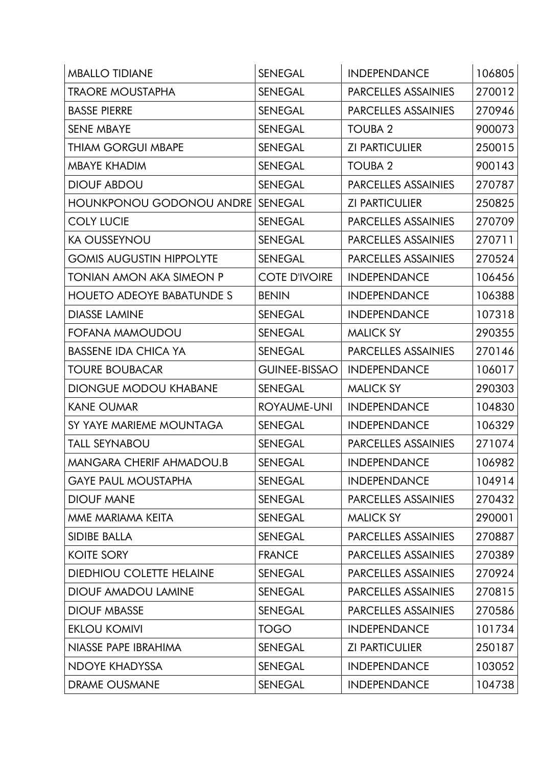| <b>MBALLO TIDIANE</b>            | <b>SENEGAL</b>       | <b>INDEPENDANCE</b>        | 106805 |
|----------------------------------|----------------------|----------------------------|--------|
| <b>TRAORE MOUSTAPHA</b>          | <b>SENEGAL</b>       | <b>PARCELLES ASSAINIES</b> | 270012 |
| <b>BASSE PIERRE</b>              | <b>SENEGAL</b>       | PARCELLES ASSAINIES        | 270946 |
| <b>SENE MBAYE</b>                | <b>SENEGAL</b>       | <b>TOUBA 2</b>             | 900073 |
| THIAM GORGUI MBAPE               | <b>SENEGAL</b>       | <b>ZI PARTICULIER</b>      | 250015 |
| <b>MBAYE KHADIM</b>              | <b>SENEGAL</b>       | <b>TOUBA 2</b>             | 900143 |
| <b>DIOUF ABDOU</b>               | <b>SENEGAL</b>       | <b>PARCELLES ASSAINIES</b> | 270787 |
| <b>HOUNKPONOU GODONOU ANDRE</b>  | <b>SENEGAL</b>       | <b>ZI PARTICULIER</b>      | 250825 |
| <b>COLY LUCIE</b>                | <b>SENEGAL</b>       | <b>PARCELLES ASSAINIES</b> | 270709 |
| <b>KA OUSSEYNOU</b>              | <b>SENEGAL</b>       | <b>PARCELLES ASSAINIES</b> | 270711 |
| <b>GOMIS AUGUSTIN HIPPOLYTE</b>  | <b>SENEGAL</b>       | <b>PARCELLES ASSAINIES</b> | 270524 |
| TONIAN AMON AKA SIMEON P         | <b>COTE D'IVOIRE</b> | <b>INDEPENDANCE</b>        | 106456 |
| <b>HOUETO ADEOYE BABATUNDE S</b> | <b>BENIN</b>         | <b>INDEPENDANCE</b>        | 106388 |
| <b>DIASSE LAMINE</b>             | <b>SENEGAL</b>       | <b>INDEPENDANCE</b>        | 107318 |
| FOFANA MAMOUDOU                  | <b>SENEGAL</b>       | <b>MALICK SY</b>           | 290355 |
| <b>BASSENE IDA CHICA YA</b>      | <b>SENEGAL</b>       | <b>PARCELLES ASSAINIES</b> | 270146 |
| <b>TOURE BOUBACAR</b>            | <b>GUINEE-BISSAO</b> | <b>INDEPENDANCE</b>        | 106017 |
| <b>DIONGUE MODOU KHABANE</b>     | <b>SENEGAL</b>       | <b>MALICK SY</b>           | 290303 |
| <b>KANE OUMAR</b>                | ROYAUME-UNI          | <b>INDEPENDANCE</b>        | 104830 |
| SY YAYE MARIEME MOUNTAGA         | <b>SENEGAL</b>       | <b>INDEPENDANCE</b>        | 106329 |
| <b>TALL SEYNABOU</b>             | <b>SENEGAL</b>       | <b>PARCELLES ASSAINIES</b> | 271074 |
| <b>MANGARA CHERIF AHMADOU.B</b>  | <b>SENEGAL</b>       | <b>INDEPENDANCE</b>        | 106982 |
| <b>GAYE PAUL MOUSTAPHA</b>       | <b>SENEGAL</b>       | <b>INDEPENDANCE</b>        | 104914 |
| <b>DIOUF MANE</b>                | <b>SENEGAL</b>       | PARCELLES ASSAINIES        | 270432 |
| MME MARIAMA KEITA                | <b>SENEGAL</b>       | <b>MALICK SY</b>           | 290001 |
| <b>SIDIBE BALLA</b>              | <b>SENEGAL</b>       | PARCELLES ASSAINIES        | 270887 |
| <b>KOITE SORY</b>                | <b>FRANCE</b>        | <b>PARCELLES ASSAINIES</b> | 270389 |
| <b>DIEDHIOU COLETTE HELAINE</b>  | <b>SENEGAL</b>       | <b>PARCELLES ASSAINIES</b> | 270924 |
| <b>DIOUF AMADOU LAMINE</b>       | <b>SENEGAL</b>       | PARCELLES ASSAINIES        | 270815 |
| <b>DIOUF MBASSE</b>              | <b>SENEGAL</b>       | PARCELLES ASSAINIES        | 270586 |
| <b>EKLOU KOMIVI</b>              | <b>TOGO</b>          | <b>INDEPENDANCE</b>        | 101734 |
| NIASSE PAPE IBRAHIMA             | <b>SENEGAL</b>       | <b>ZI PARTICULIER</b>      | 250187 |
| <b>NDOYE KHADYSSA</b>            | <b>SENEGAL</b>       | <b>INDEPENDANCE</b>        | 103052 |
| <b>DRAME OUSMANE</b>             | <b>SENEGAL</b>       | <b>INDEPENDANCE</b>        | 104738 |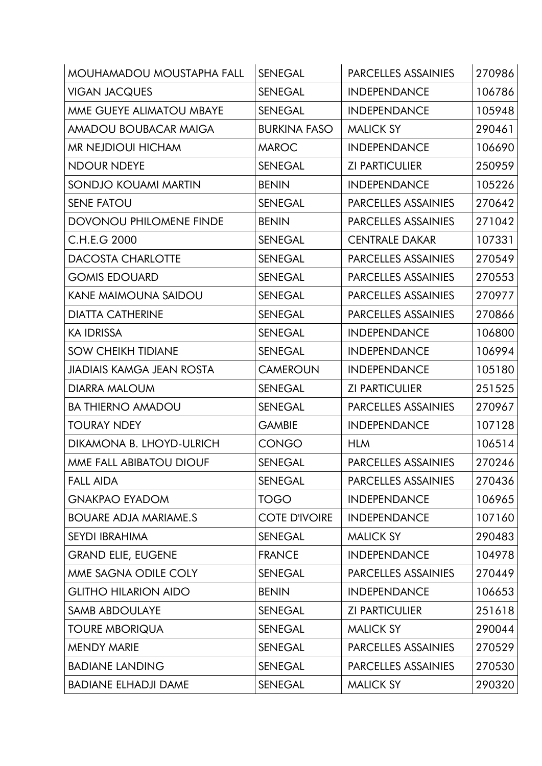| <b>MOUHAMADOU MOUSTAPHA FALL</b> | <b>SENEGAL</b>       | PARCELLES ASSAINIES        | 270986 |
|----------------------------------|----------------------|----------------------------|--------|
| <b>VIGAN JACQUES</b>             | <b>SENEGAL</b>       | <b>INDEPENDANCE</b>        | 106786 |
| MME GUEYE ALIMATOU MBAYE         | <b>SENEGAL</b>       | <b>INDEPENDANCE</b>        | 105948 |
| <b>AMADOU BOUBACAR MAIGA</b>     | <b>BURKINA FASO</b>  | <b>MALICK SY</b>           | 290461 |
| MR NEJDIOUI HICHAM               | <b>MAROC</b>         | <b>INDEPENDANCE</b>        | 106690 |
| <b>NDOUR NDEYE</b>               | <b>SENEGAL</b>       | <b>ZI PARTICULIER</b>      | 250959 |
| <b>SONDJO KOUAMI MARTIN</b>      | <b>BENIN</b>         | <b>INDEPENDANCE</b>        | 105226 |
| <b>SENE FATOU</b>                | <b>SENEGAL</b>       | PARCELLES ASSAINIES        | 270642 |
| <b>DOVONOU PHILOMENE FINDE</b>   | <b>BENIN</b>         | PARCELLES ASSAINIES        | 271042 |
| C.H.E.G 2000                     | <b>SENEGAL</b>       | <b>CENTRALE DAKAR</b>      | 107331 |
| <b>DACOSTA CHARLOTTE</b>         | <b>SENEGAL</b>       | PARCELLES ASSAINIES        | 270549 |
| <b>GOMIS EDOUARD</b>             | <b>SENEGAL</b>       | <b>PARCELLES ASSAINIES</b> | 270553 |
| <b>KANE MAIMOUNA SAIDOU</b>      | <b>SENEGAL</b>       | <b>PARCELLES ASSAINIES</b> | 270977 |
| <b>DIATTA CATHERINE</b>          | <b>SENEGAL</b>       | PARCELLES ASSAINIES        | 270866 |
| <b>KA IDRISSA</b>                | <b>SENEGAL</b>       | <b>INDEPENDANCE</b>        | 106800 |
| <b>SOW CHEIKH TIDIANE</b>        | <b>SENEGAL</b>       | <b>INDEPENDANCE</b>        | 106994 |
| <b>JIADIAIS KAMGA JEAN ROSTA</b> | <b>CAMEROUN</b>      | <b>INDEPENDANCE</b>        | 105180 |
| <b>DIARRA MALOUM</b>             | <b>SENEGAL</b>       | <b>ZI PARTICULIER</b>      | 251525 |
| <b>BA THIERNO AMADOU</b>         | <b>SENEGAL</b>       | PARCELLES ASSAINIES        | 270967 |
| <b>TOURAY NDEY</b>               | <b>GAMBIE</b>        | <b>INDEPENDANCE</b>        | 107128 |
| DIKAMONA B. LHOYD-ULRICH         | <b>CONGO</b>         | <b>HLM</b>                 | 106514 |
| MME FALL ABIBATOU DIOUF          | <b>SENEGAL</b>       | <b>PARCELLES ASSAINIES</b> | 270246 |
| <b>FALL AIDA</b>                 | <b>SENEGAL</b>       | PARCELLES ASSAINIES        | 270436 |
| <b>GNAKPAO EYADOM</b>            | <b>TOGO</b>          | <b>INDEPENDANCE</b>        | 106965 |
| <b>BOUARE ADJA MARIAME.S</b>     | <b>COTE D'IVOIRE</b> | <b>INDEPENDANCE</b>        | 107160 |
| <b>SEYDI IBRAHIMA</b>            | <b>SENEGAL</b>       | <b>MALICK SY</b>           | 290483 |
| <b>GRAND ELIE, EUGENE</b>        | <b>FRANCE</b>        | <b>INDEPENDANCE</b>        | 104978 |
| MME SAGNA ODILE COLY             | <b>SENEGAL</b>       | PARCELLES ASSAINIES        | 270449 |
| <b>GLITHO HILARION AIDO</b>      | <b>BENIN</b>         | <b>INDEPENDANCE</b>        | 106653 |
| <b>SAMB ABDOULAYE</b>            | <b>SENEGAL</b>       | <b>ZI PARTICULIER</b>      | 251618 |
| <b>TOURE MBORIQUA</b>            | <b>SENEGAL</b>       | <b>MALICK SY</b>           | 290044 |
| <b>MENDY MARIE</b>               | <b>SENEGAL</b>       | PARCELLES ASSAINIES        | 270529 |
| <b>BADIANE LANDING</b>           | <b>SENEGAL</b>       | PARCELLES ASSAINIES        | 270530 |
| <b>BADIANE ELHADJI DAME</b>      | <b>SENEGAL</b>       | <b>MALICK SY</b>           | 290320 |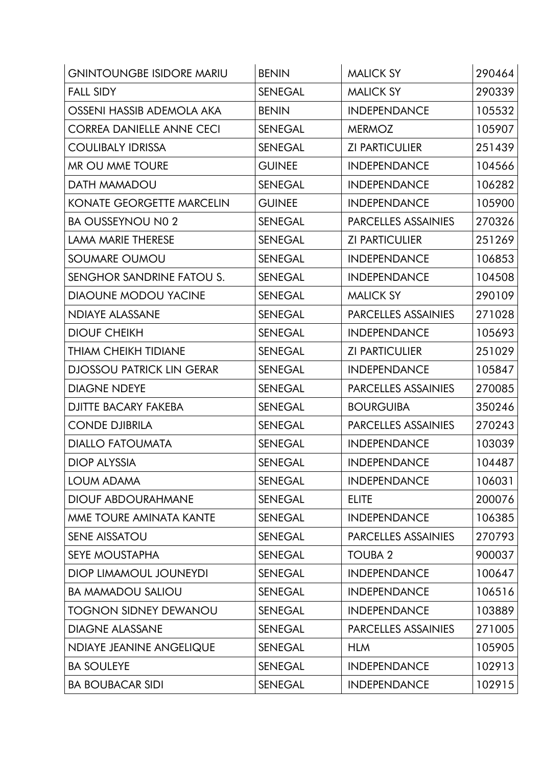| <b>GNINTOUNGBE ISIDORE MARIU</b> | <b>BENIN</b>   | <b>MALICK SY</b>           | 290464 |
|----------------------------------|----------------|----------------------------|--------|
| <b>FALL SIDY</b>                 | <b>SENEGAL</b> | <b>MALICK SY</b>           | 290339 |
| OSSENI HASSIB ADEMOLA AKA        | <b>BENIN</b>   | <b>INDEPENDANCE</b>        | 105532 |
| <b>CORREA DANIELLE ANNE CECI</b> | <b>SENEGAL</b> | <b>MERMOZ</b>              | 105907 |
| <b>COULIBALY IDRISSA</b>         | <b>SENEGAL</b> | <b>ZI PARTICULIER</b>      | 251439 |
| MR OU MME TOURE                  | <b>GUINEE</b>  | <b>INDEPENDANCE</b>        | 104566 |
| <b>DATH MAMADOU</b>              | <b>SENEGAL</b> | <b>INDEPENDANCE</b>        | 106282 |
| <b>KONATE GEORGETTE MARCELIN</b> | <b>GUINEE</b>  | <b>INDEPENDANCE</b>        | 105900 |
| <b>BA OUSSEYNOU NO 2</b>         | <b>SENEGAL</b> | <b>PARCELLES ASSAINIES</b> | 270326 |
| <b>LAMA MARIE THERESE</b>        | <b>SENEGAL</b> | <b>ZI PARTICULIER</b>      | 251269 |
| <b>SOUMARE OUMOU</b>             | <b>SENEGAL</b> | <b>INDEPENDANCE</b>        | 106853 |
| SENGHOR SANDRINE FATOU S.        | <b>SENEGAL</b> | <b>INDEPENDANCE</b>        | 104508 |
| <b>DIAOUNE MODOU YACINE</b>      | <b>SENEGAL</b> | <b>MALICK SY</b>           | 290109 |
| <b>NDIAYE ALASSANE</b>           | <b>SENEGAL</b> | <b>PARCELLES ASSAINIES</b> | 271028 |
| <b>DIOUF CHEIKH</b>              | <b>SENEGAL</b> | <b>INDEPENDANCE</b>        | 105693 |
| THIAM CHEIKH TIDIANE             | <b>SENEGAL</b> | <b>ZI PARTICULIER</b>      | 251029 |
| <b>DJOSSOU PATRICK LIN GERAR</b> | <b>SENEGAL</b> | <b>INDEPENDANCE</b>        | 105847 |
| <b>DIAGNE NDEYE</b>              | <b>SENEGAL</b> | <b>PARCELLES ASSAINIES</b> | 270085 |
| <b>DJITTE BACARY FAKEBA</b>      | <b>SENEGAL</b> | <b>BOURGUIBA</b>           | 350246 |
| <b>CONDE DJIBRILA</b>            | <b>SENEGAL</b> | <b>PARCELLES ASSAINIES</b> | 270243 |
| <b>DIALLO FATOUMATA</b>          | <b>SENEGAL</b> | <b>INDEPENDANCE</b>        | 103039 |
| <b>DIOP ALYSSIA</b>              | <b>SENEGAL</b> | <b>INDEPENDANCE</b>        | 104487 |
| LOUM ADAMA                       | <b>SENEGAL</b> | <b>INDEPENDANCE</b>        | 106031 |
| <b>DIOUF ABDOURAHMANE</b>        | <b>SENEGAL</b> | <b>ELITE</b>               | 200076 |
| MME TOURE AMINATA KANTE          | <b>SENEGAL</b> | <b>INDEPENDANCE</b>        | 106385 |
| <b>SENE AISSATOU</b>             | <b>SENEGAL</b> | PARCELLES ASSAINIES        | 270793 |
| <b>SEYE MOUSTAPHA</b>            | <b>SENEGAL</b> | <b>TOUBA 2</b>             | 900037 |
| <b>DIOP LIMAMOUL JOUNEYDI</b>    | <b>SENEGAL</b> | <b>INDEPENDANCE</b>        | 100647 |
| <b>BA MAMADOU SALIOU</b>         | <b>SENEGAL</b> | <b>INDEPENDANCE</b>        | 106516 |
| <b>TOGNON SIDNEY DEWANOU</b>     | SENEGAL        | <b>INDEPENDANCE</b>        | 103889 |
| <b>DIAGNE ALASSANE</b>           | <b>SENEGAL</b> | <b>PARCELLES ASSAINIES</b> | 271005 |
| NDIAYE JEANINE ANGELIQUE         | <b>SENEGAL</b> | <b>HLM</b>                 | 105905 |
| <b>BA SOULEYE</b>                | <b>SENEGAL</b> | <b>INDEPENDANCE</b>        | 102913 |
| <b>BA BOUBACAR SIDI</b>          | <b>SENEGAL</b> | <b>INDEPENDANCE</b>        | 102915 |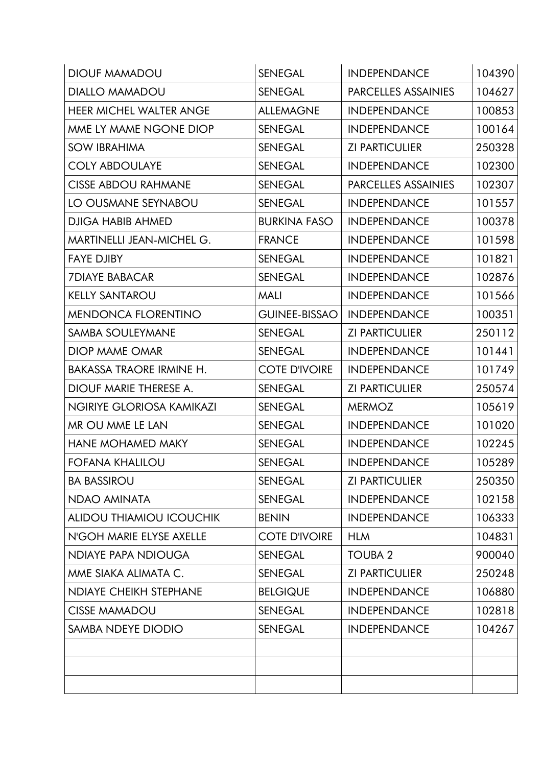| <b>DIOUF MAMADOU</b>            | <b>SENEGAL</b>       | <b>INDEPENDANCE</b>        | 104390 |
|---------------------------------|----------------------|----------------------------|--------|
| <b>DIALLO MAMADOU</b>           | <b>SENEGAL</b>       | <b>PARCELLES ASSAINIES</b> | 104627 |
| <b>HEER MICHEL WALTER ANGE</b>  | <b>ALLEMAGNE</b>     | <b>INDEPENDANCE</b>        | 100853 |
| MME LY MAME NGONE DIOP          | <b>SENEGAL</b>       | <b>INDEPENDANCE</b>        | 100164 |
| <b>SOW IBRAHIMA</b>             | <b>SENEGAL</b>       | <b>ZI PARTICULIER</b>      | 250328 |
| <b>COLY ABDOULAYE</b>           | <b>SENEGAL</b>       | <b>INDEPENDANCE</b>        | 102300 |
| <b>CISSE ABDOU RAHMANE</b>      | <b>SENEGAL</b>       | PARCELLES ASSAINIES        | 102307 |
| LO OUSMANE SEYNABOU             | <b>SENEGAL</b>       | <b>INDEPENDANCE</b>        | 101557 |
| <b>DJIGA HABIB AHMED</b>        | <b>BURKINA FASO</b>  | <b>INDEPENDANCE</b>        | 100378 |
| MARTINELLI JEAN-MICHEL G.       | <b>FRANCE</b>        | <b>INDEPENDANCE</b>        | 101598 |
| <b>FAYE DJIBY</b>               | <b>SENEGAL</b>       | <b>INDEPENDANCE</b>        | 101821 |
| <b>7DIAYE BABACAR</b>           | <b>SENEGAL</b>       | <b>INDEPENDANCE</b>        | 102876 |
| <b>KELLY SANTAROU</b>           | <b>MALI</b>          | <b>INDEPENDANCE</b>        | 101566 |
| <b>MENDONCA FLORENTINO</b>      | <b>GUINEE-BISSAO</b> | <b>INDEPENDANCE</b>        | 100351 |
| SAMBA SOULEYMANE                | <b>SENEGAL</b>       | <b>ZI PARTICULIER</b>      | 250112 |
| <b>DIOP MAME OMAR</b>           | <b>SENEGAL</b>       | <b>INDEPENDANCE</b>        | 101441 |
| <b>BAKASSA TRAORE IRMINE H.</b> | <b>COTE D'IVOIRE</b> | <b>INDEPENDANCE</b>        | 101749 |
| DIOUF MARIE THERESE A.          | <b>SENEGAL</b>       | <b>ZI PARTICULIER</b>      | 250574 |
| NGIRIYE GLORIOSA KAMIKAZI       | <b>SENEGAL</b>       | <b>MERMOZ</b>              | 105619 |
| MR OU MME LE LAN                | <b>SENEGAL</b>       | <b>INDEPENDANCE</b>        | 101020 |
| <b>HANE MOHAMED MAKY</b>        | <b>SENEGAL</b>       | <b>INDEPENDANCE</b>        | 102245 |
| <b>FOFANA KHALILOU</b>          | <b>SENEGAL</b>       | <b>INDEPENDANCE</b>        | 105289 |
| <b>BA BASSIROU</b>              | <b>SENEGAL</b>       | <b>ZI PARTICULIER</b>      | 250350 |
| NDAO AMINATA                    | <b>SENEGAL</b>       | <b>INDEPENDANCE</b>        | 102158 |
| <b>ALIDOU THIAMIOU ICOUCHIK</b> | <b>BENIN</b>         | <b>INDEPENDANCE</b>        | 106333 |
| N'GOH MARIE ELYSE AXELLE        | <b>COTE D'IVOIRE</b> | <b>HLM</b>                 | 104831 |
| <b>NDIAYE PAPA NDIOUGA</b>      | <b>SENEGAL</b>       | <b>TOUBA 2</b>             | 900040 |
| MME SIAKA ALIMATA C.            | <b>SENEGAL</b>       | <b>ZI PARTICULIER</b>      | 250248 |
| <b>NDIAYE CHEIKH STEPHANE</b>   | <b>BELGIQUE</b>      | <b>INDEPENDANCE</b>        | 106880 |
| <b>CISSE MAMADOU</b>            | <b>SENEGAL</b>       | <b>INDEPENDANCE</b>        | 102818 |
| SAMBA NDEYE DIODIO              | <b>SENEGAL</b>       | <b>INDEPENDANCE</b>        | 104267 |
|                                 |                      |                            |        |
|                                 |                      |                            |        |
|                                 |                      |                            |        |